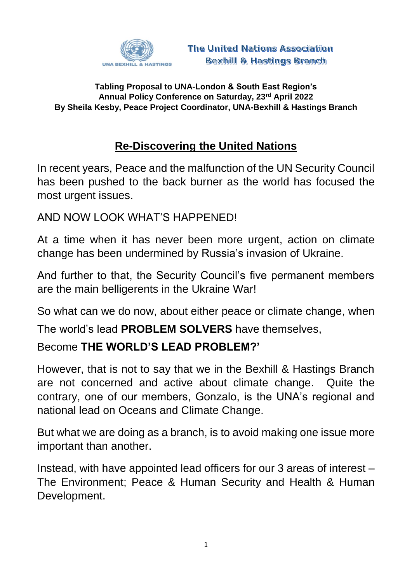

## **Tabling Proposal to UNA-London & South East Region's Annual Policy Conference on Saturday, 23rd April 2022 By Sheila Kesby, Peace Project Coordinator, UNA-Bexhill & Hastings Branch**

## **Re-Discovering the United Nations**

In recent years, Peace and the malfunction of the UN Security Council has been pushed to the back burner as the world has focused the most urgent issues.

AND NOW LOOK WHAT'S HAPPENED!

At a time when it has never been more urgent, action on climate change has been undermined by Russia's invasion of Ukraine.

And further to that, the Security Council's five permanent members are the main belligerents in the Ukraine War!

So what can we do now, about either peace or climate change, when

The world's lead **PROBLEM SOLVERS** have themselves,

## Become **THE WORLD'S LEAD PROBLEM?'**

However, that is not to say that we in the Bexhill & Hastings Branch are not concerned and active about climate change. Quite the contrary, one of our members, Gonzalo, is the UNA's regional and national lead on Oceans and Climate Change.

But what we are doing as a branch, is to avoid making one issue more important than another.

Instead, with have appointed lead officers for our 3 areas of interest – The Environment; Peace & Human Security and Health & Human Development.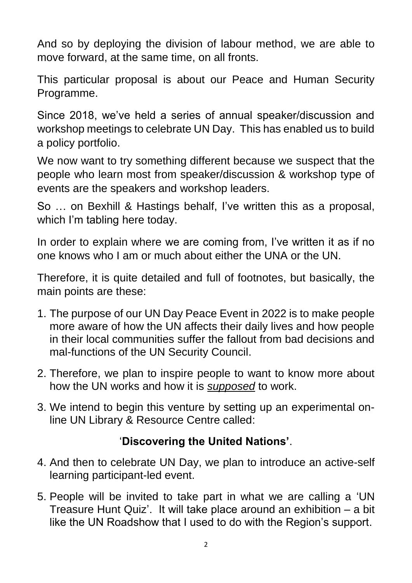And so by deploying the division of labour method, we are able to move forward, at the same time, on all fronts.

This particular proposal is about our Peace and Human Security Programme.

Since 2018, we've held a series of annual speaker/discussion and workshop meetings to celebrate UN Day. This has enabled us to build a policy portfolio.

We now want to try something different because we suspect that the people who learn most from speaker/discussion & workshop type of events are the speakers and workshop leaders.

So … on Bexhill & Hastings behalf, I've written this as a proposal, which I'm tabling here today.

In order to explain where we are coming from, I've written it as if no one knows who I am or much about either the UNA or the UN.

Therefore, it is quite detailed and full of footnotes, but basically, the main points are these:

- 1. The purpose of our UN Day Peace Event in 2022 is to make people more aware of how the UN affects their daily lives and how people in their local communities suffer the fallout from bad decisions and mal-functions of the UN Security Council.
- 2. Therefore, we plan to inspire people to want to know more about how the UN works and how it is *supposed* to work.
- 3. We intend to begin this venture by setting up an experimental online UN Library & Resource Centre called:

## '**Discovering the United Nations'**.

- 4. And then to celebrate UN Day, we plan to introduce an active-self learning participant-led event.
- 5. People will be invited to take part in what we are calling a 'UN Treasure Hunt Quiz'. It will take place around an exhibition – a bit like the UN Roadshow that I used to do with the Region's support.